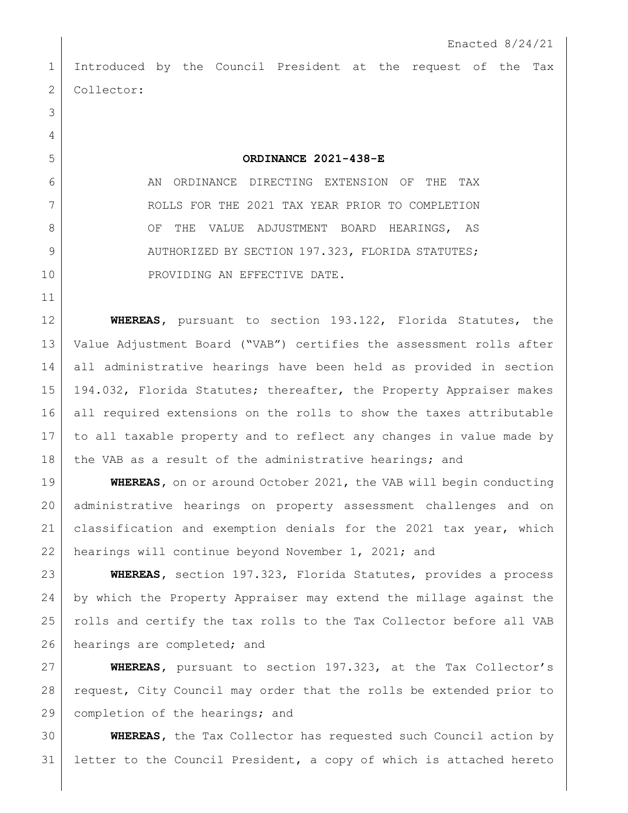Introduced by the Council President at the request of the Tax 2 Collector:

**ORDINANCE 2021-438-E**

6 AN ORDINANCE DIRECTING EXTENSION OF THE TAX ROLLS FOR THE 2021 TAX YEAR PRIOR TO COMPLETION 8 OF THE VALUE ADJUSTMENT BOARD HEARINGS, AS 9 AUTHORIZED BY SECTION 197.323, FLORIDA STATUTES; 10 PROVIDING AN EFFECTIVE DATE.

 **WHEREAS,** pursuant to section 193.122, Florida Statutes, the Value Adjustment Board ("VAB") certifies the assessment rolls after all administrative hearings have been held as provided in section 194.032, Florida Statutes; thereafter, the Property Appraiser makes all required extensions on the rolls to show the taxes attributable to all taxable property and to reflect any changes in value made by 18 the VAB as a result of the administrative hearings; and

 **WHEREAS,** on or around October 2021, the VAB will begin conducting administrative hearings on property assessment challenges and on classification and exemption denials for the 2021 tax year, which hearings will continue beyond November 1, 2021; and

 **WHEREAS,** section 197.323, Florida Statutes, provides a process by which the Property Appraiser may extend the millage against the rolls and certify the tax rolls to the Tax Collector before all VAB 26 hearings are completed; and

 **WHEREAS,** pursuant to section 197.323, at the Tax Collector's request, City Council may order that the rolls be extended prior to 29 completion of the hearings; and

 **WHEREAS,** the Tax Collector has requested such Council action by letter to the Council President, a copy of which is attached hereto